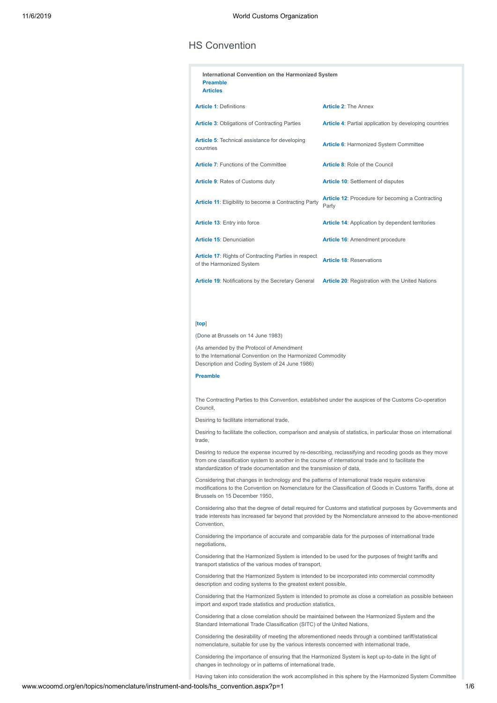# HS Convention

<span id="page-0-10"></span><span id="page-0-9"></span><span id="page-0-8"></span><span id="page-0-7"></span><span id="page-0-6"></span><span id="page-0-5"></span><span id="page-0-4"></span><span id="page-0-3"></span><span id="page-0-2"></span><span id="page-0-1"></span><span id="page-0-0"></span>

| International Convention on the Harmonized System<br><b>Preamble</b><br><b>Articles</b> |                                                                  |
|-----------------------------------------------------------------------------------------|------------------------------------------------------------------|
| <b>Article 1: Definitions</b>                                                           | <b>Article 2: The Annex</b>                                      |
| <b>Article 3: Obligations of Contracting Parties</b>                                    | <b>Article 4: Partial application by developing countries</b>    |
| <b>Article 5: Technical assistance for developing</b><br>countries                      | <b>Article 6: Harmonized System Committee</b>                    |
| <b>Article 7: Functions of the Committee</b>                                            | Article 8: Role of the Council                                   |
| <b>Article 9: Rates of Customs duty</b>                                                 | <b>Article 10: Settlement of disputes</b>                        |
| <b>Article 11:</b> Eligibility to become a Contracting Party                            | <b>Article 12: Procedure for becoming a Contracting</b><br>Party |
| Article 13: Entry into force                                                            | <b>Article 14:</b> Application by dependent territories          |
| <b>Article 15: Denunciation</b>                                                         | Article 16: Amendment procedure                                  |
| <b>Article 17: Rights of Contracting Parties in respect</b><br>of the Harmonized System | Article 18: Reservations                                         |
| <b>Article 19: Notifications by the Secretary General</b>                               | <b>Article 20: Registration with the United Nations</b>          |

## <span id="page-0-20"></span><span id="page-0-19"></span><span id="page-0-18"></span><span id="page-0-17"></span><span id="page-0-16"></span><span id="page-0-15"></span><span id="page-0-14"></span><span id="page-0-13"></span><span id="page-0-12"></span><span id="page-0-11"></span>[**top**]

(Done at Brussels on 14 June 1983)

(As amended by the Protocol of Amendment to the International Convention on the Harmonized Commodity Description and Coding System of 24 June 1986)

## **[Preamble](#page-0-0)**

The Contracting Parties to this Convention, established under the auspices of the Customs Co-operation Council,

Desiring to facilitate international trade,

Desiring to facilitate the collection, comparison and analysis of statistics, in particular those on international trade,

Desiring to reduce the expense incurred by re-describing, reclassifying and recoding goods as they move from one classification system to another in the course of international trade and to facilitate the standardization of trade documentation and the transmission of data,

Considering that changes in technology and the patterns of international trade require extensive modifications to the Convention on Nomenclature for the Classification of Goods in Customs Tariffs, done at Brussels on 15 December 1950,

Considering also that the degree of detail required for Customs and statistical purposes by Governments and trade interests has increased far beyond that provided by the Nomenclature annexed to the above-mentioned Convention,

Considering the importance of accurate and comparable data for the purposes of international trade negotiations,

Considering that the Harmonized System is intended to be used for the purposes of freight tariffs and transport statistics of the various modes of transport,

Considering that the Harmonized System is intended to be incorporated into commercial commodity description and coding systems to the greatest extent possible,

Considering that the Harmonized System is intended to promote as close a correlation as possible between import and export trade statistics and production statistics,

Considering that a close correlation should be maintained between the Harmonized System and the Standard International Trade Classification (SITC) of the United Nations,

Considering the desirability of meeting the aforementioned needs through a combined tariff/statistical nomenclature, suitable for use by the various interests concerned with international trade,

Considering the importance of ensuring that the Harmonized System is kept up-to-date in the light of changes in technology or in patterns of international trade,

Having taken into consideration the work accomplished in this sphere by the Harmonized System Committee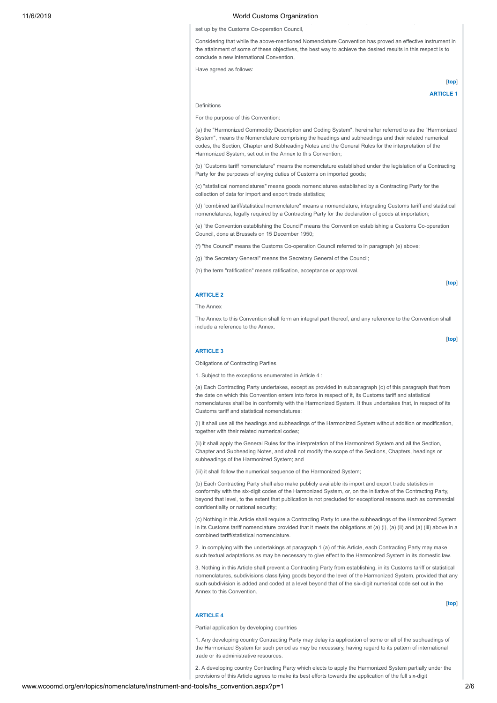set up by the Customs Co-operation Council.

Considering that while the above-mentioned Nomenclature Convention has proved an effective instrument in the attainment of some of these objectives, the best way to achieve the desired results in this respect is to conclude a new international Convention,

g p p y y

<span id="page-1-0"></span>Have agreed as follows:

#### [**top**]

## **[ARTICLE 1](#page-0-1)**

## Definitions

For the purpose of this Convention:

(a) the "Harmonized Commodity Description and Coding System", hereinafter referred to as the "Harmonized System", means the Nomenclature comprising the headings and subheadings and their related numerical codes, the Section, Chapter and Subheading Notes and the General Rules for the interpretation of the Harmonized System, set out in the Annex to this Convention;

(b) "Customs tariff nomenclature" means the nomenclature established under the legislation of a Contracting Party for the purposes of levying duties of Customs on imported goods;

(c) "statistical nomenclatures" means goods nomenclatures established by a Contracting Party for the collection of data for import and export trade statistics;

(d) "combined tariff/statistical nomenclature" means a nomenclature, integrating Customs tariff and statistical nomenclatures, legally required by a Contracting Party for the declaration of goods at importation;

(e) "the Convention establishing the Council" means the Convention establishing a Customs Co-operation Council, done at Brussels on 15 December 1950;

(f) "the Council" means the Customs Co-operation Council referred to in paragraph (e) above;

(g) "the Secretary General" means the Secretary General of the Council;

(h) the term "ratification" means ratification, acceptance or approval.

[**top**]

#### <span id="page-1-1"></span>**[ARTICLE 2](#page-0-2)**

## The Annex

The Annex to this Convention shall form an integral part thereof, and any reference to the Convention shall include a reference to the Annex.

[**top**]

#### <span id="page-1-2"></span>**[ARTICLE 3](#page-0-3)**

Obligations of Contracting Parties

1. Subject to the exceptions enumerated in Article 4 :

(a) Each Contracting Party undertakes, except as provided in subparagraph (c) of this paragraph that from the date on which this Convention enters into force in respect of it, its Customs tariff and statistical nomenclatures shall be in conformity with the Harmonized System. It thus undertakes that, in respect of its Customs tariff and statistical nomenclatures:

(i) it shall use all the headings and subheadings of the Harmonized System without addition or modification, together with their related numerical codes;

(ii) it shall apply the General Rules for the interpretation of the Harmonized System and all the Section, Chapter and Subheading Notes, and shall not modify the scope of the Sections, Chapters, headings or subheadings of the Harmonized System; and

(iii) it shall follow the numerical sequence of the Harmonized System;

(b) Each Contracting Party shall also make publicly available its import and export trade statistics in conformity with the six-digit codes of the Harmonized System, or, on the initiative of the Contracting Party, beyond that level, to the extent that publication is not precluded for exceptional reasons such as commercial confidentiality or national security;

(c) Nothing in this Article shall require a Contracting Party to use the subheadings of the Harmonized System in its Customs tariff nomenclature provided that it meets the obligations at (a) (i), (a) (ii) and (a) (iii) above in a combined tariff/statistical nomenclature.

2. In complying with the undertakings at paragraph 1 (a) of this Article, each Contracting Party may make such textual adaptations as may be necessary to give effect to the Harmonized System in its domestic law.

3. Nothing in this Article shall prevent a Contracting Party from establishing, in its Customs tariff or statistical nomenclatures, subdivisions classifying goods beyond the level of the Harmonized System, provided that any such subdivision is added and coded at a level beyond that of the six-digit numerical code set out in the Annex to this Convention.

[**top**]

## <span id="page-1-3"></span>**[ARTICLE 4](#page-0-4)**

Partial application by developing countries

1. Any developing country Contracting Party may delay its application of some or all of the subheadings of the Harmonized System for such period as may be necessary, having regard to its pattern of international trade or its administrative resources.

2. A developing country Contracting Party which elects to apply the Harmonized System partially under the provisions of this Article agrees to make its best efforts towards the application of the full six-digit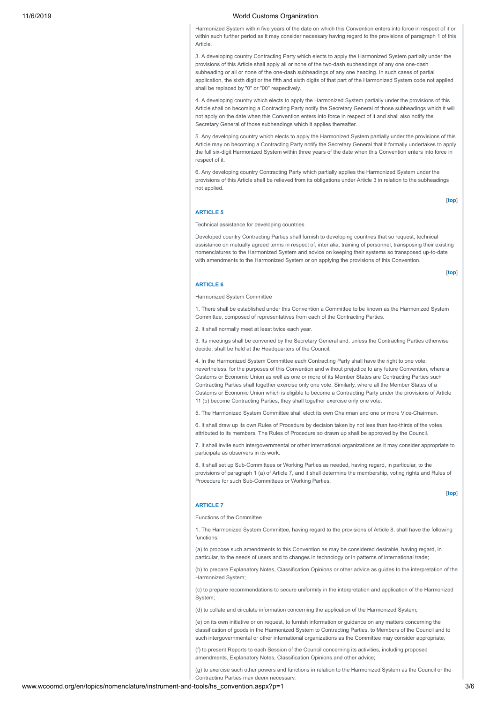Harmonized System within five years of the date on which this Convention enters into force in respect of it or within such further period as it may consider necessary having regard to the provisions of paragraph 1 of this Article.

3. A developing country Contracting Party which elects to apply the Harmonized System partially under the provisions of this Article shall apply all or none of the two-dash subheadings of any one one-dash subheading or all or none of the one-dash subheadings of any one heading. In such cases of partial application, the sixth digit or the fifth and sixth digits of that part of the Harmonized System code not applied shall be replaced by "0" or "00" respectively.

4. A developing country which elects to apply the Harmonized System partially under the provisions of this Article shall on becoming a Contracting Party notify the Secretary General of those subheadings which it will not apply on the date when this Convention enters into force in respect of it and shall also notify the Secretary General of those subheadings which it applies thereafter.

5. Any developing country which elects to apply the Harmonized System partially under the provisions of this Article may on becoming a Contracting Party notify the Secretary General that it formally undertakes to apply the full six-digit Harmonized System within three years of the date when this Convention enters into force in respect of it.

6. Any developing country Contracting Party which partially applies the Harmonized System under the provisions of this Article shall be relieved from its obligations under Article 3 in relation to the subheadings not applied.

[**top**]

## <span id="page-2-0"></span>**[ARTICLE 5](#page-0-5)**

### Technical assistance for developing countries

Developed country Contracting Parties shall furnish to developing countries that so request, technical assistance on mutually agreed terms in respect of, inter alia, training of personnel, transposing their existing nomenclatures to the Harmonized System and advice on keeping their systems so transposed up-to-date with amendments to the Harmonized System or on applying the provisions of this Convention.

[**top**]

### <span id="page-2-1"></span>**[ARTICLE 6](#page-0-6)**

Harmonized System Committee

1. There shall be established under this Convention a Committee to be known as the Harmonized System Committee, composed of representatives from each of the Contracting Parties.

2. It shall normally meet at least twice each year.

3. Its meetings shall be convened by the Secretary General and, unless the Contracting Parties otherwise decide, shall be held at the Headquarters of the Council.

4. In the Harmonized System Committee each Contracting Party shall have the right to one vote; nevertheless, for the purposes of this Convention and without prejudice to any future Convention, where a Customs or Economic Union as well as one or more of its Member States are Contracting Parties such Contracting Parties shall together exercise only one vote. Similarly, where all the Member States of a Customs or Economic Union which is eligible to become a Contracting Party under the provisions of Article 11 (b) become Contracting Parties, they shall together exercise only one vote.

5. The Harmonized System Committee shall elect its own Chairman and one or more Vice-Chairmen.

6. It shall draw up its own Rules of Procedure by decision taken by not less than two-thirds of the votes attributed to its members. The Rules of Procedure so drawn up shall be approved by the Council.

7. It shall invite such intergovernmental or other international organizations as it may consider appropriate to participate as observers in its work.

8. It shall set up Sub-Committees or Working Parties as needed, having regard, in particular, to the provisions of paragraph 1 (a) of Article 7, and it shall determine the membership, voting rights and Rules of Procedure for such Sub-Committees or Working Parties.

[**top**]

#### <span id="page-2-2"></span>**[ARTICLE 7](#page-0-7)**

Functions of the Committee

Contracting Parties may deem necessary.

1. The Harmonized System Committee, having regard to the provisions of Article 8, shall have the following functions:

(a) to propose such amendments to this Convention as may be considered desirable, having regard, in particular, to the needs of users and to changes in technology or in patterns of international trade;

(b) to prepare Explanatory Notes, Classification Opinions or other advice as guides to the interpretation of the Harmonized System;

(c) to prepare recommendations to secure uniformity in the interpretation and application of the Harmonized System;

(d) to collate and circulate information concerning the application of the Harmonized System;

(e) on its own initiative or on request, to furnish information or guidance on any matters concerning the classification of goods in the Harmonized System to Contracting Parties, to Members of the Council and to such intergovernmental or other international organizations as the Committee may consider appropriate;

(f) to present Reports to each Session of the Council concerning its activities, including proposed amendments, Explanatory Notes, Classification Opinions and other advice;

(g) to exercise such other powers and functions in relation to the Harmonized System as the Council or the

www.wcoomd.org/en/topics/nomenclature/instrument-and-tools/hs\_convention.aspx?p=1 3/6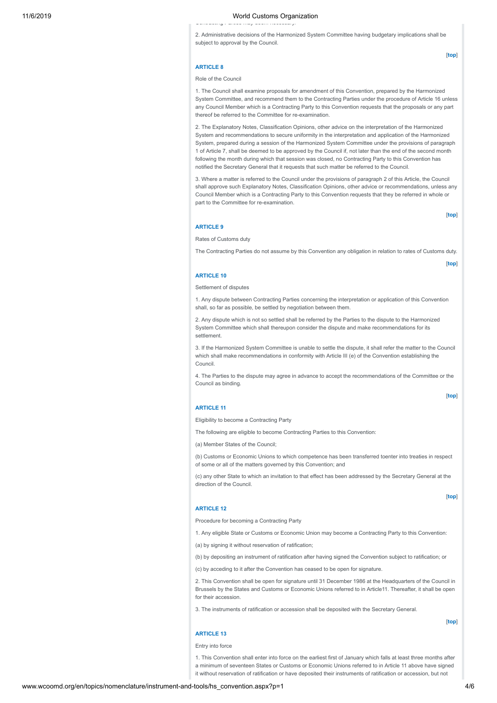Contracting Parties may deem necessary.

2. Administrative decisions of the Harmonized System Committee having budgetary implications shall be subject to approval by the Council.

#### <span id="page-3-0"></span>**[ARTICLE 8](#page-0-8)**

Role of the Council

1. The Council shall examine proposals for amendment of this Convention, prepared by the Harmonized System Committee, and recommend them to the Contracting Parties under the procedure of Article 16 unless any Council Member which is a Contracting Party to this Convention requests that the proposals or any part thereof be referred to the Committee for re-examination.

2. The Explanatory Notes, Classification Opinions, other advice on the interpretation of the Harmonized System and recommendations to secure uniformity in the interpretation and application of the Harmonized System, prepared during a session of the Harmonized System Committee under the provisions of paragraph 1 of Article 7, shall be deemed to be approved by the Council if, not later than the end of the second month following the month during which that session was closed, no Contracting Party to this Convention has notified the Secretary General that it requests that such matter be referred to the Council.

3. Where a matter is referred to the Council under the provisions of paragraph 2 of this Article, the Council shall approve such Explanatory Notes, Classification Opinions, other advice or recommendations, unless any Council Member which is a Contracting Party to this Convention requests that they be referred in whole or part to the Committee for re-examination.

[**top**]

[**top**]

## <span id="page-3-1"></span>**[ARTICLE 9](#page-0-9)**

Rates of Customs duty

The Contracting Parties do not assume by this Convention any obligation in relation to rates of Customs duty.

[**top**]

### <span id="page-3-2"></span>**[ARTICLE 10](#page-0-10)**

Settlement of disputes

1. Any dispute between Contracting Parties concerning the interpretation or application of this Convention shall, so far as possible, be settled by negotiation between them.

2. Any dispute which is not so settled shall be referred by the Parties to the dispute to the Harmonized System Committee which shall thereupon consider the dispute and make recommendations for its settlement.

3. If the Harmonized System Committee is unable to settle the dispute, it shall refer the matter to the Council which shall make recommendations in conformity with Article III (e) of the Convention establishing the Council.

4. The Parties to the dispute may agree in advance to accept the recommendations of the Committee or the Council as binding.

[**top**]

## <span id="page-3-3"></span>**[ARTICLE 11](#page-0-11)**

Eligibility to become a Contracting Party

The following are eligible to become Contracting Parties to this Convention:

(a) Member States of the Council;

(b) Customs or Economic Unions to which competence has been transferred toenter into treaties in respect of some or all of the matters governed by this Convention; and

(c) any other State to which an invitation to that effect has been addressed by the Secretary General at the direction of the Council.

[**top**]

## <span id="page-3-4"></span>**[ARTICLE 12](#page-0-12)**

Procedure for becoming a Contracting Party

1. Any eligible State or Customs or Economic Union may become a Contracting Party to this Convention:

(a) by signing it without reservation of ratification;

(b) by depositing an instrument of ratification after having signed the Convention subject to ratification; or

(c) by acceding to it after the Convention has ceased to be open for signature.

2. This Convention shall be open for signature until 31 December 1986 at the Headquarters of the Council in Brussels by the States and Customs or Economic Unions referred to in Article11. Thereafter, it shall be open for their accession.

3. The instruments of ratification or accession shall be deposited with the Secretary General.

#### [**top**]

## <span id="page-3-5"></span>**[ARTICLE 13](#page-0-13)**

Entry into force

1. This Convention shall enter into force on the earliest first of January which falls at least three months after a minimum of seventeen States or Customs or Economic Unions referred to in Article 11 above have signed it without reservation of ratification or have deposited their instruments of ratification or accession, but not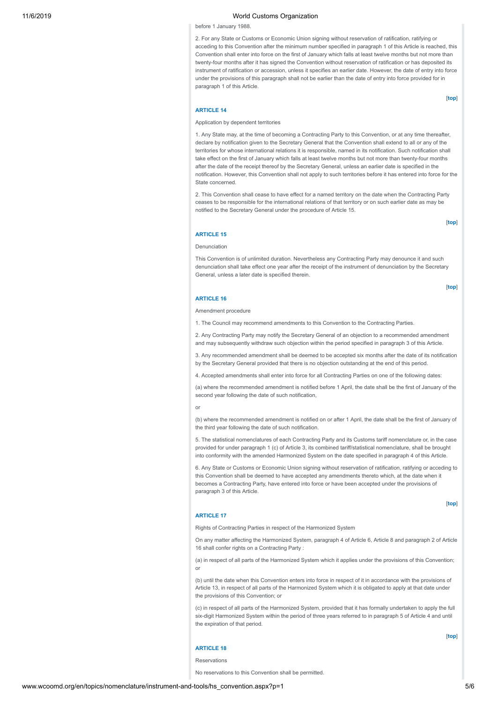before 1 January 1988.

2. For any State or Customs or Economic Union signing without reservation of ratification, ratifying or acceding to this Convention after the minimum number specified in paragraph 1 of this Article is reached, this Convention shall enter into force on the first of January which falls at least twelve months but not more than twenty-four months after it has signed the Convention without reservation of ratification or has deposited its instrument of ratification or accession, unless it specifies an earlier date. However, the date of entry into force under the provisions of this paragraph shall not be earlier than the date of entry into force provided for in paragraph 1 of this Article.

[**top**]

## <span id="page-4-0"></span>**[ARTICLE 14](#page-0-14)**

#### Application by dependent territories

1. Any State may, at the time of becoming a Contracting Party to this Convention, or at any time thereafter, declare by notification given to the Secretary General that the Convention shall extend to all or any of the territories for whose international relations it is responsible, named in its notification. Such notification shall take effect on the first of January which falls at least twelve months but not more than twenty-four months after the date of the receipt thereof by the Secretary General, unless an earlier date is specified in the notification. However, this Convention shall not apply to such territories before it has entered into force for the State concerned.

2. This Convention shall cease to have effect for a named territory on the date when the Contracting Party ceases to be responsible for the international relations of that territory or on such earlier date as may be notified to the Secretary General under the procedure of Article 15.

[**top**]

## <span id="page-4-1"></span>**[ARTICLE 15](#page-0-15)**

#### Denunciation

This Convention is of unlimited duration. Nevertheless any Contracting Party may denounce it and such denunciation shall take effect one year after the receipt of the instrument of denunciation by the Secretary General, unless a later date is specified therein.

[**top**]

## <span id="page-4-2"></span>**[ARTICLE 16](#page-0-16)**

Amendment procedure

1. The Council may recommend amendments to this Convention to the Contracting Parties.

2. Any Contracting Party may notify the Secretary General of an objection to a recommended amendment and may subsequently withdraw such objection within the period specified in paragraph 3 of this Article.

3. Any recommended amendment shall be deemed to be accepted six months after the date of its notification by the Secretary General provided that there is no objection outstanding at the end of this period.

4. Accepted amendments shall enter into force for all Contracting Parties on one of the following dates:

(a) where the recommended amendment is notified before 1 April, the date shall be the first of January of the second year following the date of such notification,

#### or

(b) where the recommended amendment is notified on or after 1 April, the date shall be the first of January of the third year following the date of such notification.

5. The statistical nomenclatures of each Contracting Party and its Customs tariff nomenclature or, in the case provided for under paragraph 1 (c) of Article 3, its combined tariff/statistical nomenclature, shall be brought into conformity with the amended Harmonized System on the date specified in paragraph 4 of this Article.

6. Any State or Customs or Economic Union signing without reservation of ratification, ratifying or acceding to this Convention shall be deemed to have accepted any amendments thereto which, at the date when it becomes a Contracting Party, have entered into force or have been accepted under the provisions of paragraph 3 of this Article.

[**top**]

## <span id="page-4-3"></span>**[ARTICLE 17](#page-0-17)**

Rights of Contracting Parties in respect of the Harmonized System

On any matter affecting the Harmonized System, paragraph 4 of Article 6, Article 8 and paragraph 2 of Article 16 shall confer rights on a Contracting Party :

(a) in respect of all parts of the Harmonized System which it applies under the provisions of this Convention; or

(b) until the date when this Convention enters into force in respect of it in accordance with the provisions of Article 13, in respect of all parts of the Harmonized System which it is obligated to apply at that date under the provisions of this Convention; or

(c) in respect of all parts of the Harmonized System, provided that it has formally undertaken to apply the full six-digit Harmonized System within the period of three years referred to in paragraph 5 of Article 4 and until the expiration of that period.

[**top**]

# <span id="page-4-4"></span>**[ARTICLE 18](#page-0-18)** Reservations

No reservations to this Convention shall be permitted.